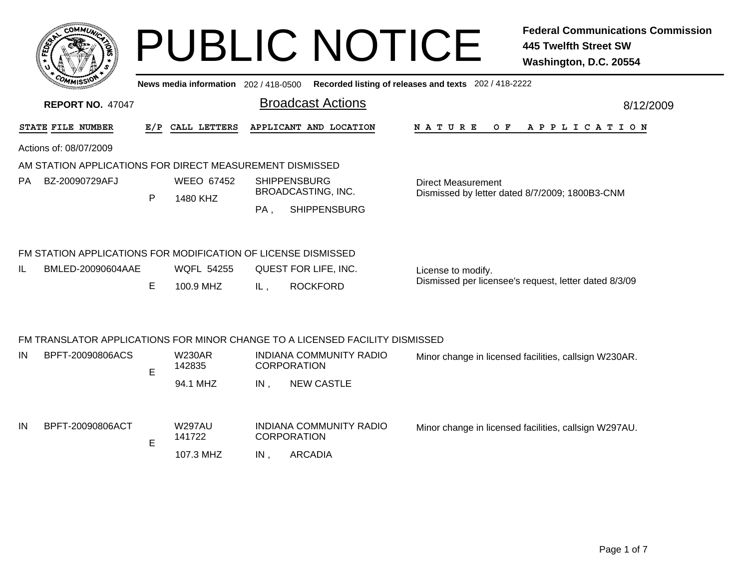|    |                                                               |              |                                       |     | <b>PUBLIC NOTICE</b>                                                         |                                                       | <b>Federal Communications Commission</b><br><b>445 Twelfth Street SW</b><br>Washington, D.C. 20554 |
|----|---------------------------------------------------------------|--------------|---------------------------------------|-----|------------------------------------------------------------------------------|-------------------------------------------------------|----------------------------------------------------------------------------------------------------|
|    | <b>REPORT NO. 47047</b>                                       |              | News media information 202 / 418-0500 |     | <b>Broadcast Actions</b>                                                     | Recorded listing of releases and texts 202 / 418-2222 | 8/12/2009                                                                                          |
|    | STATE FILE NUMBER                                             | E/P          | CALL LETTERS                          |     | APPLICANT AND LOCATION                                                       | N A T U R E<br>O F                                    | A P P L I C A T I O N                                                                              |
|    | Actions of: 08/07/2009                                        |              |                                       |     |                                                                              |                                                       |                                                                                                    |
|    | AM STATION APPLICATIONS FOR DIRECT MEASUREMENT DISMISSED      |              |                                       |     |                                                                              |                                                       |                                                                                                    |
| РA | BZ-20090729AFJ                                                | $\mathsf{P}$ | <b>WEEO 67452</b><br>1480 KHZ         | PA, | <b>SHIPPENSBURG</b><br>BROADCASTING, INC.<br><b>SHIPPENSBURG</b>             | <b>Direct Measurement</b>                             | Dismissed by letter dated 8/7/2009; 1800B3-CNM                                                     |
|    | FM STATION APPLICATIONS FOR MODIFICATION OF LICENSE DISMISSED |              |                                       |     |                                                                              |                                                       |                                                                                                    |
| IL | BMLED-20090604AAE                                             | Е            | <b>WQFL 54255</b><br>100.9 MHZ        | IL, | QUEST FOR LIFE, INC.<br><b>ROCKFORD</b>                                      | License to modify.                                    | Dismissed per licensee's request, letter dated 8/3/09                                              |
|    |                                                               |              |                                       |     |                                                                              |                                                       |                                                                                                    |
|    |                                                               |              |                                       |     | FM TRANSLATOR APPLICATIONS FOR MINOR CHANGE TO A LICENSED FACILITY DISMISSED |                                                       |                                                                                                    |
| IN | BPFT-20090806ACS                                              | E            | <b>W230AR</b><br>142835               |     | <b>INDIANA COMMUNITY RADIO</b><br><b>CORPORATION</b>                         |                                                       | Minor change in licensed facilities, callsign W230AR.                                              |
|    |                                                               |              | 94.1 MHZ                              | IN, | <b>NEW CASTLE</b>                                                            |                                                       |                                                                                                    |
| IN | BPFT-20090806ACT                                              |              | <b>W297AU</b><br>141722               |     | <b>INDIANA COMMUNITY RADIO</b><br><b>CORPORATION</b>                         |                                                       | Minor change in licensed facilities, callsign W297AU.                                              |

E

107.3 MHZ , ARCADIA IN CORPORATION

Page 1 of 7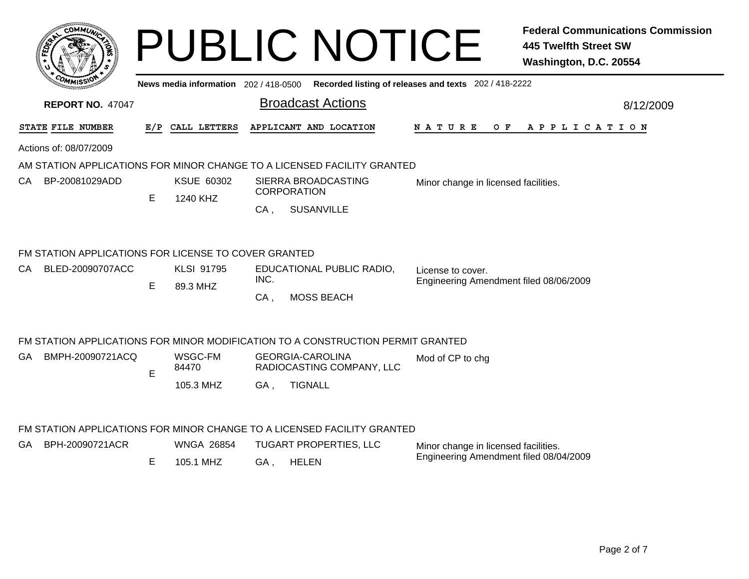| сомми                                                                           |     |                                     |                                   | <b>PUBLIC NOTICE</b>                                 |                                                             | <b>Federal Communications Commission</b><br><b>445 Twelfth Street SW</b><br>Washington, D.C. 20554 |  |  |  |
|---------------------------------------------------------------------------------|-----|-------------------------------------|-----------------------------------|------------------------------------------------------|-------------------------------------------------------------|----------------------------------------------------------------------------------------------------|--|--|--|
|                                                                                 |     | News media information 202/418-0500 |                                   |                                                      | Recorded listing of releases and texts 202 / 418-2222       |                                                                                                    |  |  |  |
| <b>REPORT NO. 47047</b>                                                         |     |                                     |                                   | <b>Broadcast Actions</b>                             |                                                             | 8/12/2009                                                                                          |  |  |  |
| STATE FILE NUMBER                                                               | E/P | CALL LETTERS                        |                                   | APPLICANT AND LOCATION                               | <b>NATURE</b><br>O F                                        | A P P L I C A T I O N                                                                              |  |  |  |
| Actions of: 08/07/2009                                                          |     |                                     |                                   |                                                      |                                                             |                                                                                                    |  |  |  |
| AM STATION APPLICATIONS FOR MINOR CHANGE TO A LICENSED FACILITY GRANTED         |     |                                     |                                   |                                                      |                                                             |                                                                                                    |  |  |  |
| BP-20081029ADD<br>CA.                                                           |     | KSUE 60302                          |                                   | SIERRA BROADCASTING<br><b>CORPORATION</b>            | Minor change in licensed facilities.                        |                                                                                                    |  |  |  |
|                                                                                 | Е   | 1240 KHZ                            | CA,                               | <b>SUSANVILLE</b>                                    |                                                             |                                                                                                    |  |  |  |
| FM STATION APPLICATIONS FOR LICENSE TO COVER GRANTED                            |     |                                     |                                   |                                                      |                                                             |                                                                                                    |  |  |  |
| BLED-20090707ACC<br>CA.                                                         |     | <b>KLSI 91795</b>                   | EDUCATIONAL PUBLIC RADIO,<br>INC. |                                                      | License to cover.<br>Engineering Amendment filed 08/06/2009 |                                                                                                    |  |  |  |
|                                                                                 | E   | 89.3 MHZ                            | CA,                               | <b>MOSS BEACH</b>                                    |                                                             |                                                                                                    |  |  |  |
| FM STATION APPLICATIONS FOR MINOR MODIFICATION TO A CONSTRUCTION PERMIT GRANTED |     |                                     |                                   |                                                      |                                                             |                                                                                                    |  |  |  |
| BMPH-20090721ACQ<br>GA.                                                         |     | WSGC-FM<br>84470                    |                                   | <b>GEORGIA-CAROLINA</b><br>RADIOCASTING COMPANY, LLC | Mod of CP to chg                                            |                                                                                                    |  |  |  |
|                                                                                 | E   | 105.3 MHZ                           | GA,                               | <b>TIGNALL</b>                                       |                                                             |                                                                                                    |  |  |  |
| FM STATION APPLICATIONS FOR MINOR CHANGE TO A LICENSED FACILITY GRANTED         |     |                                     |                                   |                                                      |                                                             |                                                                                                    |  |  |  |
| BPH-20090721ACR<br>GA -                                                         |     | <b>WNGA 26854</b>                   |                                   | <b>TUGART PROPERTIES, LLC</b>                        | Minor change in licensed facilities.                        |                                                                                                    |  |  |  |
|                                                                                 | Е   | 105.1 MHZ                           | GA,                               | <b>HELEN</b>                                         | Engineering Amendment filed 08/04/2009                      |                                                                                                    |  |  |  |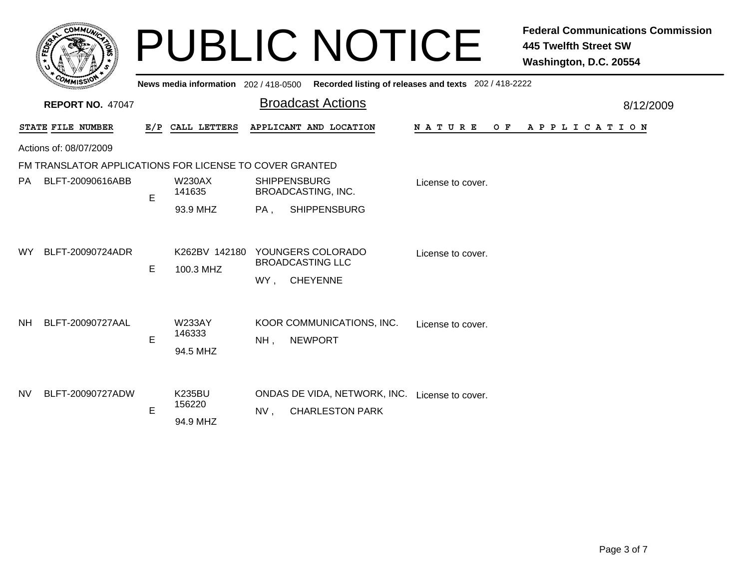|           | COMMUN                                                  |                                                              | News media information 202 / 418-0500 |        | <b>PUBLIC NOTICE</b>                                            | Recorded listing of releases and texts 202 / 418-2222 | <b>Federal Communications Commission</b><br><b>445 Twelfth Street SW</b><br>Washington, D.C. 20554 |  |  |  |  |  |
|-----------|---------------------------------------------------------|--------------------------------------------------------------|---------------------------------------|--------|-----------------------------------------------------------------|-------------------------------------------------------|----------------------------------------------------------------------------------------------------|--|--|--|--|--|
|           | <b>REPORT NO. 47047</b>                                 |                                                              |                                       |        | <b>Broadcast Actions</b>                                        |                                                       | 8/12/2009                                                                                          |  |  |  |  |  |
|           | STATE FILE NUMBER                                       | APPLICANT AND LOCATION<br>CALL LETTERS<br>N A T U R E<br>E/P |                                       |        |                                                                 |                                                       | OF APPLICATION                                                                                     |  |  |  |  |  |
|           | Actions of: 08/07/2009                                  |                                                              |                                       |        |                                                                 |                                                       |                                                                                                    |  |  |  |  |  |
|           | FM TRANSLATOR APPLICATIONS FOR LICENSE TO COVER GRANTED |                                                              |                                       |        |                                                                 |                                                       |                                                                                                    |  |  |  |  |  |
| <b>PA</b> | BLFT-20090616ABB                                        | E                                                            | <b>W230AX</b><br>141635               |        | <b>SHIPPENSBURG</b><br><b>BROADCASTING, INC.</b>                | License to cover.                                     |                                                                                                    |  |  |  |  |  |
|           |                                                         |                                                              | 93.9 MHZ                              | PA,    | <b>SHIPPENSBURG</b>                                             |                                                       |                                                                                                    |  |  |  |  |  |
| <b>WY</b> | BLFT-20090724ADR                                        | E                                                            | K262BV 142180<br>100.3 MHZ            | WY,    | YOUNGERS COLORADO<br><b>BROADCASTING LLC</b><br><b>CHEYENNE</b> | License to cover.                                     |                                                                                                    |  |  |  |  |  |
| NH.       | BLFT-20090727AAL                                        | E                                                            | <b>W233AY</b><br>146333<br>94.5 MHZ   | $NH$ , | KOOR COMMUNICATIONS, INC.<br><b>NEWPORT</b>                     | License to cover.                                     |                                                                                                    |  |  |  |  |  |
| <b>NV</b> | BLFT-20090727ADW                                        | E                                                            | <b>K235BU</b><br>156220<br>94.9 MHZ   | NV,    | ONDAS DE VIDA, NETWORK, INC.<br><b>CHARLESTON PARK</b>          | License to cover.                                     |                                                                                                    |  |  |  |  |  |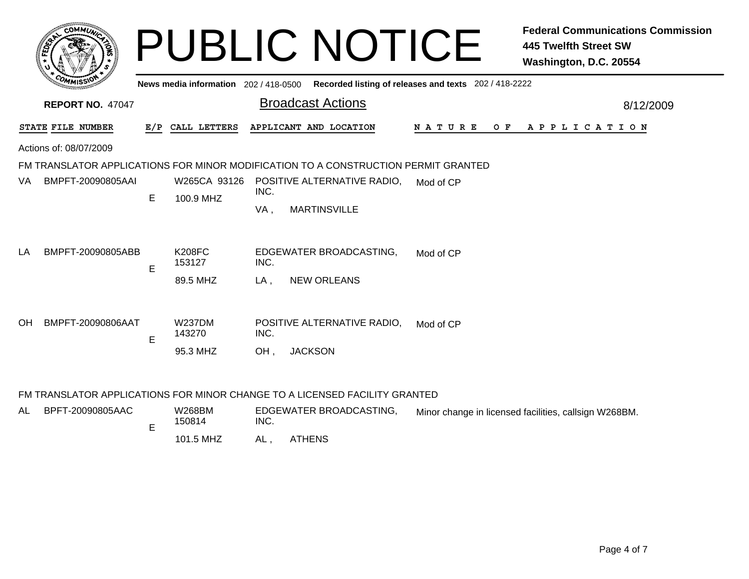|    | COMMUL                  |   |                                       |      | <b>PUBLIC NOTICE</b>                                                               |                                                       | <b>Federal Communications Commission</b><br><b>445 Twelfth Street SW</b><br>Washington, D.C. 20554 |  |  |  |  |
|----|-------------------------|---|---------------------------------------|------|------------------------------------------------------------------------------------|-------------------------------------------------------|----------------------------------------------------------------------------------------------------|--|--|--|--|
|    |                         |   | News media information 202 / 418-0500 |      |                                                                                    | Recorded listing of releases and texts 202 / 418-2222 |                                                                                                    |  |  |  |  |
|    | <b>REPORT NO. 47047</b> |   |                                       |      | <b>Broadcast Actions</b>                                                           | 8/12/2009                                             |                                                                                                    |  |  |  |  |
|    | STATE FILE NUMBER       |   | E/P CALL LETTERS                      |      | APPLICANT AND LOCATION                                                             | N A T U R E<br>O F                                    | A P P L I C A T I O N                                                                              |  |  |  |  |
|    | Actions of: 08/07/2009  |   |                                       |      |                                                                                    |                                                       |                                                                                                    |  |  |  |  |
|    |                         |   |                                       |      | FM TRANSLATOR APPLICATIONS FOR MINOR MODIFICATION TO A CONSTRUCTION PERMIT GRANTED |                                                       |                                                                                                    |  |  |  |  |
| VA | BMPFT-20090805AAI       | E | 100.9 MHZ                             | INC. | W265CA 93126 POSITIVE ALTERNATIVE RADIO,                                           | Mod of CP                                             |                                                                                                    |  |  |  |  |
|    |                         |   |                                       | VA,  | <b>MARTINSVILLE</b>                                                                |                                                       |                                                                                                    |  |  |  |  |
| LA | BMPFT-20090805ABB       | E | <b>K208FC</b><br>153127               | INC. | EDGEWATER BROADCASTING,                                                            | Mod of CP                                             |                                                                                                    |  |  |  |  |
|    |                         |   | 89.5 MHZ                              | LA,  | <b>NEW ORLEANS</b>                                                                 |                                                       |                                                                                                    |  |  |  |  |
| OH | BMPFT-20090806AAT       | E | <b>W237DM</b><br>143270               | INC. | POSITIVE ALTERNATIVE RADIO,                                                        | Mod of CP                                             |                                                                                                    |  |  |  |  |
|    |                         |   | 95.3 MHZ                              | OH.  | <b>JACKSON</b>                                                                     |                                                       |                                                                                                    |  |  |  |  |

## FM TRANSLATOR APPLICATIONS FOR MINOR CHANGE TO A LICENSED FACILITY GRANTED

| AL | BPFT-20090805AAC | W268BM<br>150814 | EDGEWATER BROADCASTING.<br>INC. |               | Minor change in licensed facilities, callsign W268BM. |
|----|------------------|------------------|---------------------------------|---------------|-------------------------------------------------------|
|    |                  | 101.5 MHZ        | AL                              | <b>ATHENS</b> |                                                       |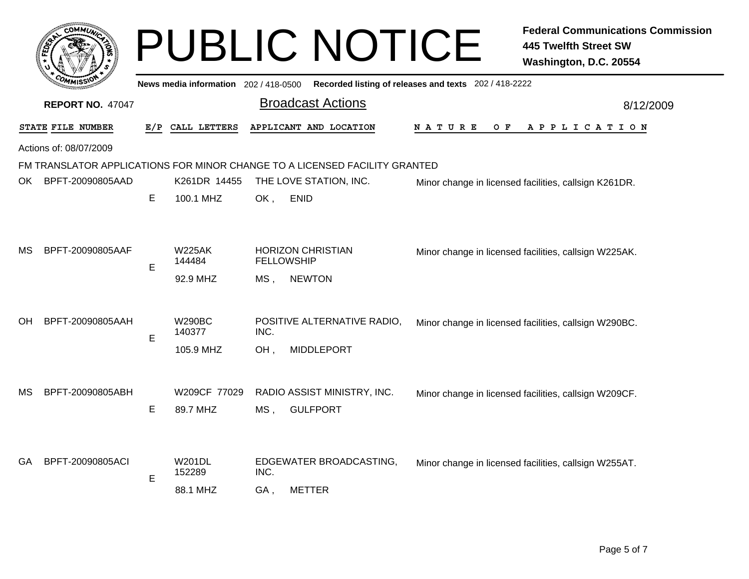|     |                         |     |                                       |             | <b>PUBLIC NOTICE</b>                                                       |                                                       | <b>Federal Communications Commission</b><br><b>445 Twelfth Street SW</b><br>Washington, D.C. 20554 |  |  |
|-----|-------------------------|-----|---------------------------------------|-------------|----------------------------------------------------------------------------|-------------------------------------------------------|----------------------------------------------------------------------------------------------------|--|--|
|     |                         |     | News media information 202 / 418-0500 |             |                                                                            | Recorded listing of releases and texts 202 / 418-2222 |                                                                                                    |  |  |
|     | <b>REPORT NO. 47047</b> |     |                                       |             | <b>Broadcast Actions</b>                                                   |                                                       | 8/12/2009                                                                                          |  |  |
|     | STATE FILE NUMBER       | E/P | CALL LETTERS                          |             | APPLICANT AND LOCATION                                                     | O F<br>N A T U R E                                    | A P P L I C A T I O N                                                                              |  |  |
|     | Actions of: 08/07/2009  |     |                                       |             |                                                                            |                                                       |                                                                                                    |  |  |
|     |                         |     |                                       |             | FM TRANSLATOR APPLICATIONS FOR MINOR CHANGE TO A LICENSED FACILITY GRANTED |                                                       |                                                                                                    |  |  |
| OK. | BPFT-20090805AAD        |     | K261DR 14455                          |             | THE LOVE STATION, INC.                                                     | Minor change in licensed facilities, callsign K261DR. |                                                                                                    |  |  |
|     |                         | Е   | 100.1 MHZ                             | OK,         | <b>ENID</b>                                                                |                                                       |                                                                                                    |  |  |
| МS  | BPFT-20090805AAF        | E   | <b>W225AK</b><br>144484<br>92.9 MHZ   | MS,         | <b>HORIZON CHRISTIAN</b><br><b>FELLOWSHIP</b><br><b>NEWTON</b>             |                                                       | Minor change in licensed facilities, callsign W225AK.                                              |  |  |
| ΟH  | BPFT-20090805AAH        | E   | <b>W290BC</b><br>140377<br>105.9 MHZ  | INC.<br>OH, | POSITIVE ALTERNATIVE RADIO,<br><b>MIDDLEPORT</b>                           |                                                       | Minor change in licensed facilities, callsign W290BC.                                              |  |  |
| MS. | BPFT-20090805ABH        | E   | W209CF 77029<br>89.7 MHZ              | MS,         | RADIO ASSIST MINISTRY, INC.<br><b>GULFPORT</b>                             |                                                       | Minor change in licensed facilities, callsign W209CF.                                              |  |  |
| GA. | BPFT-20090805ACI        | E   | <b>W201DL</b><br>152289<br>88.1 MHZ   | INC.<br>GA, | EDGEWATER BROADCASTING,<br>METTER                                          |                                                       | Minor change in licensed facilities, callsign W255AT.                                              |  |  |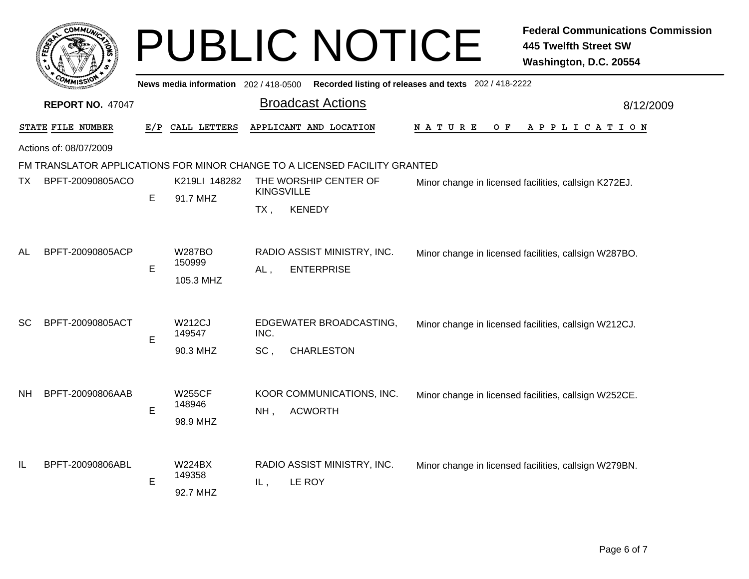|           | COMMUN                  |     |                                      |             | <b>PUBLIC NOTICE</b>                                                       |                                                       | <b>Federal Communications Commission</b><br><b>445 Twelfth Street SW</b><br>Washington, D.C. 20554 |
|-----------|-------------------------|-----|--------------------------------------|-------------|----------------------------------------------------------------------------|-------------------------------------------------------|----------------------------------------------------------------------------------------------------|
|           |                         |     | News media information 202/418-0500  |             |                                                                            | Recorded listing of releases and texts 202 / 418-2222 |                                                                                                    |
|           | <b>REPORT NO. 47047</b> |     |                                      |             | <b>Broadcast Actions</b>                                                   |                                                       | 8/12/2009                                                                                          |
|           | STATE FILE NUMBER       | E/P | CALL LETTERS                         |             | APPLICANT AND LOCATION                                                     | N A T U R E<br>O F                                    | A P P L I C A T I O N                                                                              |
|           | Actions of: 08/07/2009  |     |                                      |             |                                                                            |                                                       |                                                                                                    |
|           |                         |     |                                      |             | FM TRANSLATOR APPLICATIONS FOR MINOR CHANGE TO A LICENSED FACILITY GRANTED |                                                       |                                                                                                    |
| TX.       | BPFT-20090805ACO        | E   | K219LI 148282<br>91.7 MHZ            |             | THE WORSHIP CENTER OF<br><b>KINGSVILLE</b>                                 |                                                       | Minor change in licensed facilities, callsign K272EJ.                                              |
|           |                         |     |                                      | TX,         | <b>KENEDY</b>                                                              |                                                       |                                                                                                    |
| AL        | BPFT-20090805ACP        | E   | <b>W287BO</b><br>150999<br>105.3 MHZ | $AL$ ,      | RADIO ASSIST MINISTRY, INC.<br><b>ENTERPRISE</b>                           |                                                       | Minor change in licensed facilities, callsign W287BO.                                              |
| SC        | BPFT-20090805ACT        | E   | <b>W212CJ</b><br>149547<br>90.3 MHZ  | INC.<br>SC. | EDGEWATER BROADCASTING,<br><b>CHARLESTON</b>                               |                                                       | Minor change in licensed facilities, callsign W212CJ.                                              |
| <b>NH</b> | BPFT-20090806AAB        | E   | <b>W255CF</b><br>148946<br>98.9 MHZ  | NH,         | KOOR COMMUNICATIONS, INC.<br><b>ACWORTH</b>                                |                                                       | Minor change in licensed facilities, callsign W252CE.                                              |
| IL        | BPFT-20090806ABL        | E   | <b>W224BX</b><br>149358<br>92.7 MHZ  | IL,         | RADIO ASSIST MINISTRY, INC.<br>LE ROY                                      |                                                       | Minor change in licensed facilities, callsign W279BN.                                              |